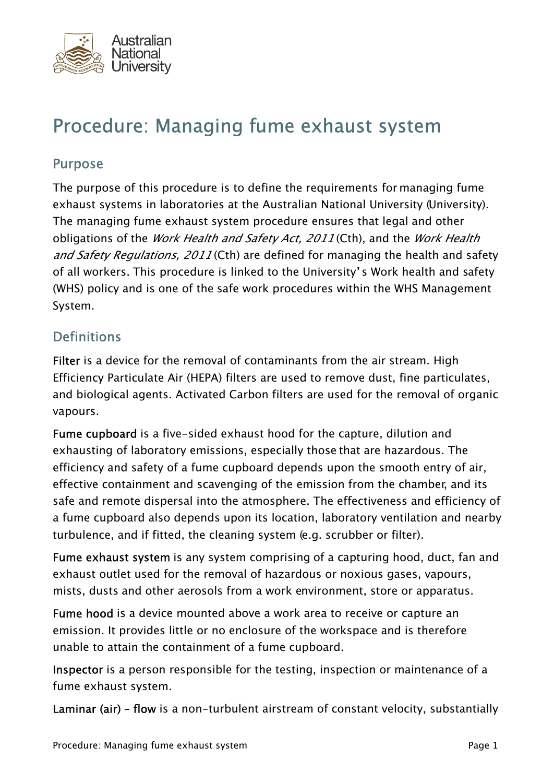

# Procedure: Managing fume exhaust system

#### Purpose

The purpose of this procedure is to define the requirements for managing fume exhaust systems in laboratories at the Australian National University (University). The managing fume exhaust system procedure ensures that legal and other obligations of the *Work Health and Safety Act, 2011* (Cth), and the *Work Health* and Safety Regulations, 2011 (Cth) are defined for managing the health and safety of all workers. This procedure is linked to the University's Work health and safety (WHS) policy and is one of the safe work procedures within the WHS Management System.

## **Definitions**

Filter is a device for the removal of contaminants from the air stream. High Efficiency Particulate Air (HEPA) filters are used to remove dust, fine particulates, and biological agents. Activated Carbon filters are used for the removal of organic vapours.

Fume cupboard is a five-sided exhaust hood for the capture, dilution and exhausting of laboratory emissions, especially those that are hazardous. The efficiency and safety of a fume cupboard depends upon the smooth entry of air, effective containment and scavenging of the emission from the chamber, and its safe and remote dispersal into the atmosphere. The effectiveness and efficiency of a fume cupboard also depends upon its location, laboratory ventilation and nearby turbulence, and if fitted, the cleaning system (e.g. scrubber or filter).

Fume exhaust system is any system comprising of a capturing hood, duct, fan and exhaust outlet used for the removal of hazardous or noxious gases, vapours, mists, dusts and other aerosols from a work environment, store or apparatus.

Fume hood is a device mounted above a work area to receive or capture an emission. It provides little or no enclosure of the workspace and is therefore unable to attain the containment of a fume cupboard.

Inspector is a person responsible for the testing, inspection or maintenance of a fume exhaust system.

Laminar (air) – flow is a non-turbulent airstream of constant velocity, substantially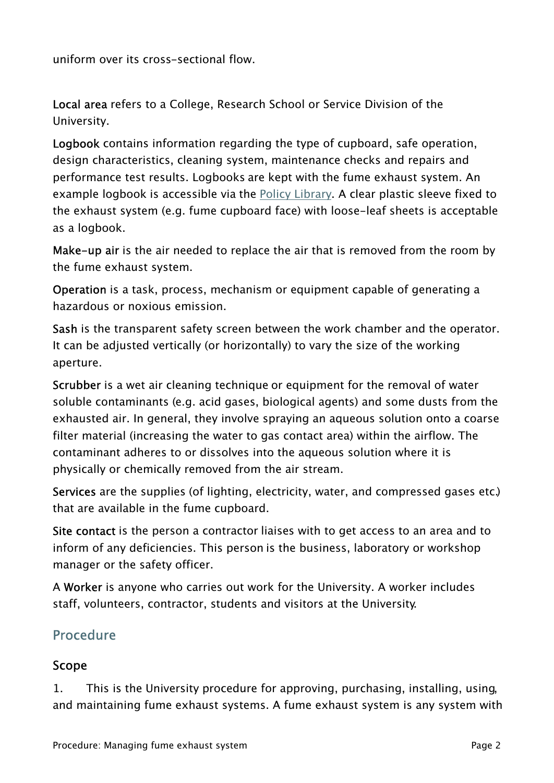uniform over its cross-sectional flow.

Local area refers to a College, Research School or Service Division of the University.

Logbook contains information regarding the type of cupboard, safe operation, design characteristics, cleaning system, maintenance checks and repairs and performance test results. Logbooks are kept with the fume exhaust system. An example logbook is accessible via the **Policy Library.** A clear plastic sleeve fixed to the exhaust system (e.g. fume cupboard face) with loose-leaf sheets is acceptable as a logbook.

Make-up air is the air needed to replace the air that is removed from the room by the fume exhaust system.

Operation is a task, process, mechanism or equipment capable of generating a hazardous or noxious emission.

Sash is the transparent safety screen between the work chamber and the operator. It can be adjusted vertically (or horizontally) to vary the size of the working aperture.

Scrubber is a wet air cleaning technique or equipment for the removal of water soluble contaminants (e.g. acid gases, biological agents) and some dusts from the exhausted air. In general, they involve spraying an aqueous solution onto a coarse filter material (increasing the water to gas contact area) within the airflow. The contaminant adheres to or dissolves into the aqueous solution where it is physically or chemically removed from the air stream.

Services are the supplies (of lighting, electricity, water, and compressed gases etc.) that are available in the fume cupboard.

Site contact is the person a contractor liaises with to get access to an area and to inform of any deficiencies. This person is the business, laboratory or workshop manager or the safety officer.

A Worker is anyone who carries out work for the University. A worker includes staff, volunteers, contractor, students and visitors at the University.

## Procedure

## Scope

1. This is the University procedure for approving, purchasing, installing, using, and maintaining fume exhaust systems. A fume exhaust system is any system with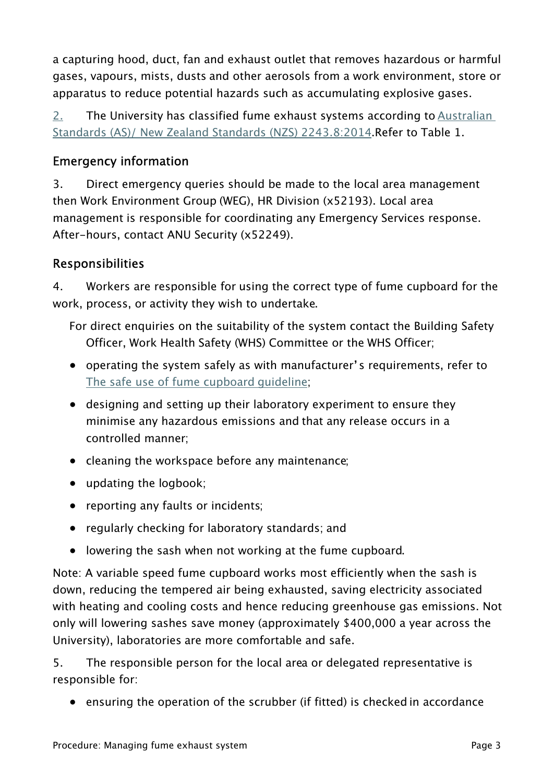a capturing hood, duct, fan and exhaust outlet that removes hazardous or harmful gases, vapours, mists, dusts and other aerosols from a work environment, store or apparatus to reduce potential hazards such as accumulating explosive gases.

2. The University has classified fume exhaust systems according to [Australian](http://anulib.anu.edu.au/)  [Standards \(AS\)/ New Zealand Standards \(NZS\) 2243.8:2014](http://anulib.anu.edu.au/).Refer to Table 1.

## Emergency information

3. Direct emergency queries should be made to the local area management then Work Environment Group (WEG), HR Division (x52193). Local area management is responsible for coordinating any Emergency Services response. After-hours, contact ANU Security (x52249).

## Responsibilities

4. Workers are responsible for using the correct type of fume cupboard for the work, process, or activity they wish to undertake.

For direct enquiries on the suitability of the system contact the Building Safety Officer, Work Health Safety (WHS) Committee or the WHS Officer;

- operating the system safely as with manufacturer's requirements, refer to [The safe use of fume cupboard guideline](https://policies.anu.edu.au/ppl/document/ANUP_000748);
- designing and setting up their laboratory experiment to ensure they minimise any hazardous emissions and that any release occurs in a controlled manner;
- cleaning the workspace before any maintenance;
- updating the logbook;
- reporting any faults or incidents;
- regularly checking for laboratory standards; and
- lowering the sash when not working at the fume cupboard.

Note: A variable speed fume cupboard works most efficiently when the sash is down, reducing the tempered air being exhausted, saving electricity associated with heating and cooling costs and hence reducing greenhouse gas emissions. Not only will lowering sashes save money (approximately \$400,000 a year across the University), laboratories are more comfortable and safe.

5. The responsible person for the local area or delegated representative is responsible for:

• ensuring the operation of the scrubber (if fitted) is checked in accordance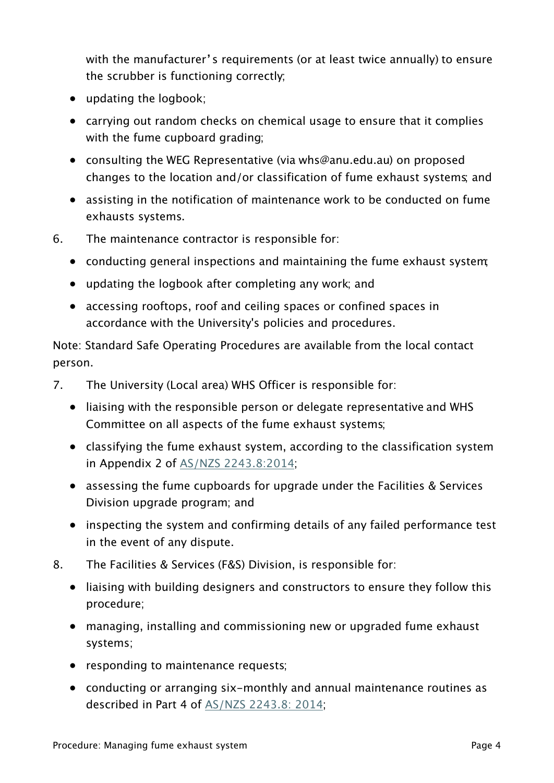with the manufacturer's requirements (or at least twice annually) to ensure the scrubber is functioning correctly;

- updating the logbook;
- carrying out random checks on chemical usage to ensure that it complies with the fume cupboard grading:
- consulting the WEG Representative (via whs@anu.edu.au) on proposed changes to the location and/or classification of fume exhaust systems; and
- assisting in the notification of maintenance work to be conducted on fume exhausts systems.
- 6. The maintenance contractor is responsible for:
	- conducting general inspections and maintaining the fume exhaust system;
	- updating the logbook after completing any work; and
	- accessing rooftops, roof and ceiling spaces or confined spaces in accordance with the University's policies and procedures.

Note: Standard Safe Operating Procedures are available from the local contact person.

- 7. The University (Local area) WHS Officer is responsible for:
	- liaising with the responsible person or delegate representative and WHS Committee on all aspects of the fume exhaust systems;
	- classifying the fume exhaust system, according to the classification system in Appendix 2 of [AS/NZS 2243.8:2014;](https://services.anu.edu.au/human-resources/health-safety)
	- assessing the fume cupboards for upgrade under the Facilities & Services Division upgrade program; and
	- inspecting the system and confirming details of any failed performance test in the event of any dispute.
- 8. The Facilities & Services (F&S) Division, is responsible for:
	- liaising with building designers and constructors to ensure they follow this procedure;
	- managing, installing and commissioning new or upgraded fume exhaust systems;
	- responding to maintenance requests;
	- conducting or arranging six-monthly and annual maintenance routines as described in Part 4 of [AS/NZS 2243.8: 2014](https://services.anu.edu.au/human-resources/health-safety);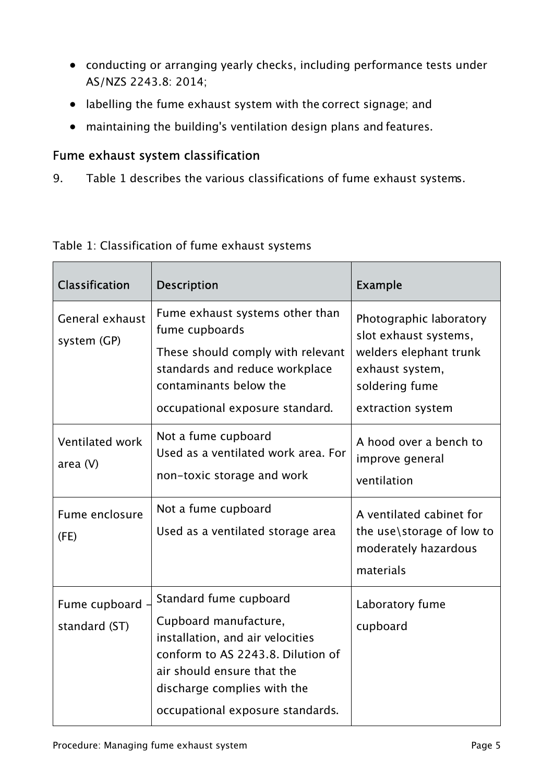- conducting or arranging yearly checks, including performance tests under AS/NZS 2243.8: 2014;
- labelling the fume exhaust system with the correct signage; and
- maintaining the building's ventilation design plans and features.

#### Fume exhaust system classification

9. Table 1 describes the various classifications of fume exhaust systems.

| <b>Classification</b>          | <b>Description</b>                                                                                                                                                                                                        | <b>Example</b>                                                                                                                       |
|--------------------------------|---------------------------------------------------------------------------------------------------------------------------------------------------------------------------------------------------------------------------|--------------------------------------------------------------------------------------------------------------------------------------|
| General exhaust<br>system (GP) | Fume exhaust systems other than<br>fume cupboards<br>These should comply with relevant<br>standards and reduce workplace<br>contaminants below the<br>occupational exposure standard.                                     | Photographic laboratory<br>slot exhaust systems,<br>welders elephant trunk<br>exhaust system,<br>soldering fume<br>extraction system |
| Ventilated work<br>area $(V)$  | Not a fume cupboard<br>Used as a ventilated work area. For<br>non-toxic storage and work                                                                                                                                  | A hood over a bench to<br>improve general<br>ventilation                                                                             |
| Fume enclosure<br>(FE)         | Not a fume cupboard<br>Used as a ventilated storage area                                                                                                                                                                  | A ventilated cabinet for<br>the use\storage of low to<br>moderately hazardous<br>materials                                           |
| Fume cupboard<br>standard (ST) | Standard fume cupboard<br>Cupboard manufacture,<br>installation, and air velocities<br>conform to AS 2243.8. Dilution of<br>air should ensure that the<br>discharge complies with the<br>occupational exposure standards. | Laboratory fume<br>cupboard                                                                                                          |

#### Table 1: Classification of fume exhaust systems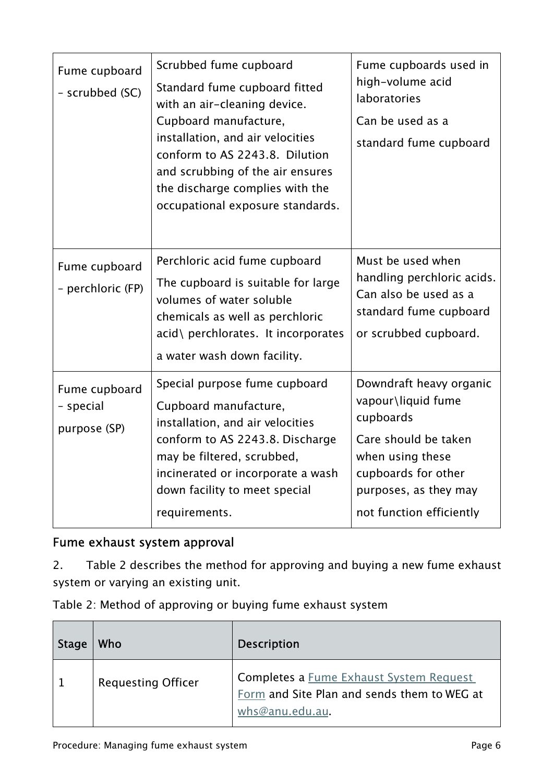| Fume cupboard<br>- scrubbed (SC)           | Scrubbed fume cupboard<br>Standard fume cupboard fitted<br>with an air-cleaning device.<br>Cupboard manufacture,<br>installation, and air velocities<br>conform to AS 2243.8. Dilution<br>and scrubbing of the air ensures<br>the discharge complies with the<br>occupational exposure standards. | Fume cupboards used in<br>high-volume acid<br>laboratories<br>Can be used as a<br>standard fume cupboard                                                                           |
|--------------------------------------------|---------------------------------------------------------------------------------------------------------------------------------------------------------------------------------------------------------------------------------------------------------------------------------------------------|------------------------------------------------------------------------------------------------------------------------------------------------------------------------------------|
| Fume cupboard<br>- perchloric (FP)         | Perchloric acid fume cupboard<br>The cupboard is suitable for large<br>volumes of water soluble<br>chemicals as well as perchloric<br>acid\ perchlorates. It incorporates<br>a water wash down facility.                                                                                          | Must be used when<br>handling perchloric acids.<br>Can also be used as a<br>standard fume cupboard<br>or scrubbed cupboard.                                                        |
| Fume cupboard<br>- special<br>purpose (SP) | Special purpose fume cupboard<br>Cupboard manufacture,<br>installation, and air velocities<br>conform to AS 2243.8. Discharge<br>may be filtered, scrubbed,<br>incinerated or incorporate a wash<br>down facility to meet special<br>requirements.                                                | Downdraft heavy organic<br>vapour\liquid fume<br>cupboards<br>Care should be taken<br>when using these<br>cupboards for other<br>purposes, as they may<br>not function efficiently |

# Fume exhaust system approval

2. Table 2 describes the method for approving and buying a new fume exhaust system or varying an existing unit.

| Table 2: Method of approving or buying fume exhaust system |  |  |  |  |  |  |
|------------------------------------------------------------|--|--|--|--|--|--|
|------------------------------------------------------------|--|--|--|--|--|--|

| Stage | Who                       | <b>Description</b>                                                                                        |
|-------|---------------------------|-----------------------------------------------------------------------------------------------------------|
|       | <b>Requesting Officer</b> | Completes a Fume Exhaust System Request<br>Form and Site Plan and sends them to WEG at<br>whs@anu.edu.au. |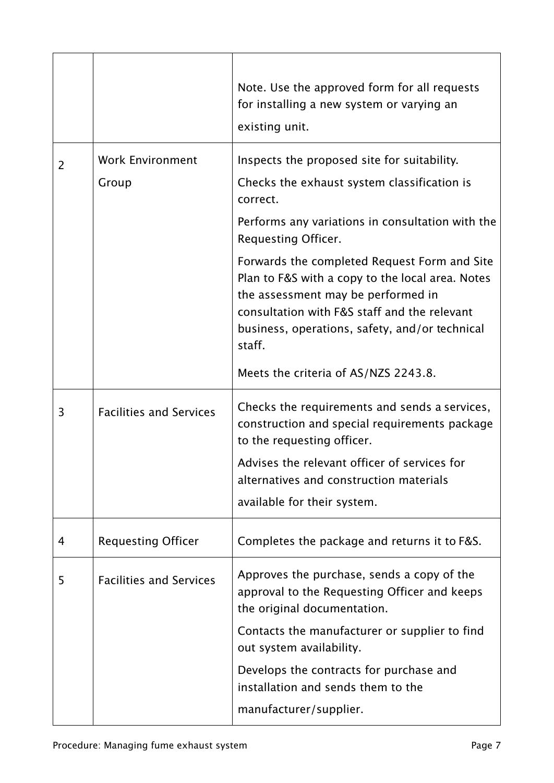|   |                                  | Note. Use the approved form for all requests<br>for installing a new system or varying an<br>existing unit.                                                                                                                                                                                                                                                                                                                             |
|---|----------------------------------|-----------------------------------------------------------------------------------------------------------------------------------------------------------------------------------------------------------------------------------------------------------------------------------------------------------------------------------------------------------------------------------------------------------------------------------------|
| 2 | <b>Work Environment</b><br>Group | Inspects the proposed site for suitability.<br>Checks the exhaust system classification is<br>correct.<br>Performs any variations in consultation with the<br>Requesting Officer.<br>Forwards the completed Request Form and Site<br>Plan to F&S with a copy to the local area. Notes<br>the assessment may be performed in<br>consultation with F&S staff and the relevant<br>business, operations, safety, and/or technical<br>staff. |
| 3 | <b>Facilities and Services</b>   | Meets the criteria of AS/NZS 2243.8.<br>Checks the requirements and sends a services,<br>construction and special requirements package<br>to the requesting officer.<br>Advises the relevant officer of services for<br>alternatives and construction materials<br>available for their system.                                                                                                                                          |
| 4 | <b>Requesting Officer</b>        | Completes the package and returns it to F&S.                                                                                                                                                                                                                                                                                                                                                                                            |
| 5 | <b>Facilities and Services</b>   | Approves the purchase, sends a copy of the<br>approval to the Requesting Officer and keeps<br>the original documentation.<br>Contacts the manufacturer or supplier to find<br>out system availability.<br>Develops the contracts for purchase and<br>installation and sends them to the<br>manufacturer/supplier.                                                                                                                       |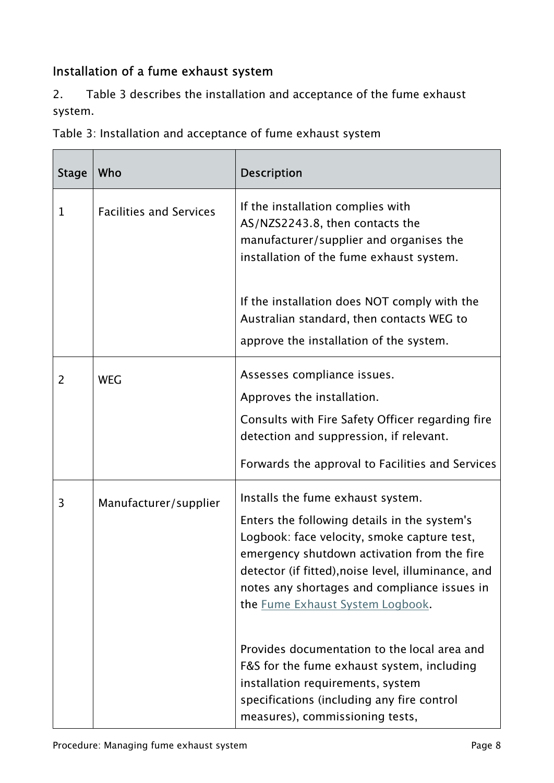# Installation of a fume exhaust system

2. Table 3 describes the installation and acceptance of the fume exhaust system.

Table 3: Installation and acceptance of fume exhaust system

| <b>Stage</b>   | Who                            | <b>Description</b>                                                                                                                                                                                                                                                                                                         |
|----------------|--------------------------------|----------------------------------------------------------------------------------------------------------------------------------------------------------------------------------------------------------------------------------------------------------------------------------------------------------------------------|
| $\mathbf{1}$   | <b>Facilities and Services</b> | If the installation complies with<br>AS/NZS2243.8, then contacts the<br>manufacturer/supplier and organises the<br>installation of the fume exhaust system.                                                                                                                                                                |
|                |                                | If the installation does NOT comply with the<br>Australian standard, then contacts WEG to<br>approve the installation of the system.                                                                                                                                                                                       |
| $\overline{2}$ | <b>WEG</b>                     | Assesses compliance issues.<br>Approves the installation.<br>Consults with Fire Safety Officer regarding fire<br>detection and suppression, if relevant.                                                                                                                                                                   |
|                |                                | Forwards the approval to Facilities and Services                                                                                                                                                                                                                                                                           |
| 3              | Manufacturer/supplier          | Installs the fume exhaust system.<br>Enters the following details in the system's<br>Logbook: face velocity, smoke capture test,<br>emergency shutdown activation from the fire<br>detector (if fitted), noise level, illuminance, and<br>notes any shortages and compliance issues in<br>the Fume Exhaust System Logbook. |
|                |                                | Provides documentation to the local area and<br>F&S for the fume exhaust system, including<br>installation requirements, system<br>specifications (including any fire control<br>measures), commissioning tests,                                                                                                           |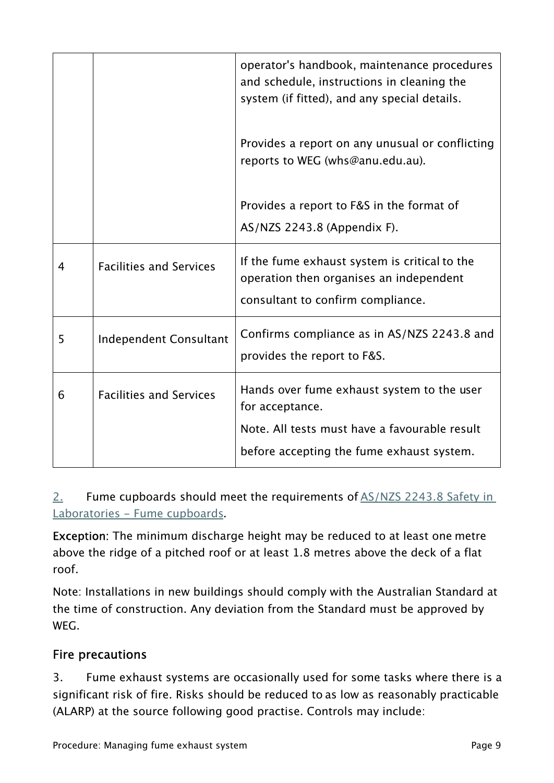|   |                                | operator's handbook, maintenance procedures<br>and schedule, instructions in cleaning the<br>system (if fitted), and any special details. |
|---|--------------------------------|-------------------------------------------------------------------------------------------------------------------------------------------|
|   |                                | Provides a report on any unusual or conflicting<br>reports to WEG (whs@anu.edu.au).                                                       |
|   |                                | Provides a report to F&S in the format of<br>AS/NZS 2243.8 (Appendix F).                                                                  |
| 4 | <b>Facilities and Services</b> | If the fume exhaust system is critical to the<br>operation then organises an independent<br>consultant to confirm compliance.             |
| 5 | <b>Independent Consultant</b>  | Confirms compliance as in AS/NZS 2243.8 and<br>provides the report to F&S.                                                                |
| 6 | <b>Facilities and Services</b> | Hands over fume exhaust system to the user<br>for acceptance.<br>Note. All tests must have a favourable result                            |
|   |                                | before accepting the fume exhaust system.                                                                                                 |

## 2. Fume cupboards should meet the requirements of [AS/NZS 2243.8 Safety in](https://services.anu.edu.au/human-resources/health-safety)  [Laboratories - Fume cupboards](https://services.anu.edu.au/human-resources/health-safety).

Exception: The minimum discharge height may be reduced to at least one metre above the ridge of a pitched roof or at least 1.8 metres above the deck of a flat roof.

Note: Installations in new buildings should comply with the Australian Standard at the time of construction. Any deviation from the Standard must be approved by WEG.

## Fire precautions

3. Fume exhaust systems are occasionally used for some tasks where there is a significant risk of fire. Risks should be reduced to as low as reasonably practicable (ALARP) at the source following good practise. Controls may include: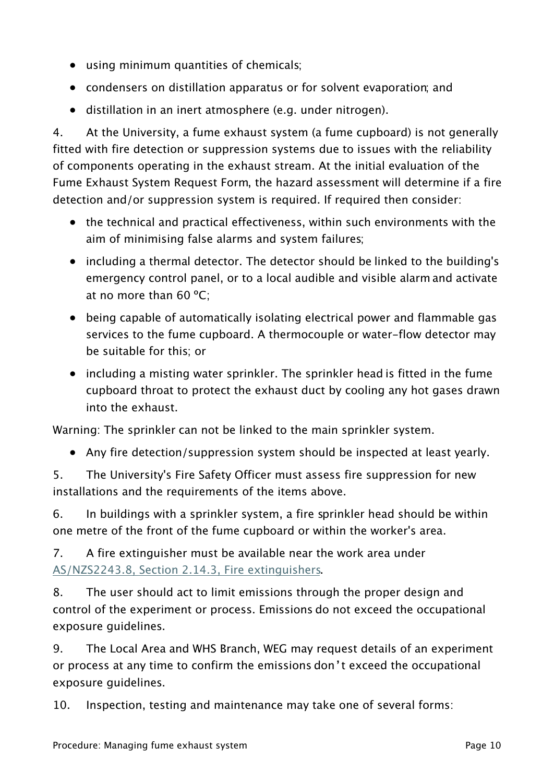- using minimum quantities of chemicals;
- condensers on distillation apparatus or for solvent evaporation; and
- distillation in an inert atmosphere (e.g. under nitrogen).

4. At the University, a fume exhaust system (a fume cupboard) is not generally fitted with fire detection or suppression systems due to issues with the reliability of components operating in the exhaust stream. At the initial evaluation of the Fume Exhaust System Request Form, the hazard assessment will determine if a fire detection and/or suppression system is required. If required then consider:

- the technical and practical effectiveness, within such environments with the aim of minimising false alarms and system failures;
- including a thermal detector. The detector should be linked to the building's emergency control panel, or to a local audible and visible alarm and activate at no more than 60 ºC;
- being capable of automatically isolating electrical power and flammable gas services to the fume cupboard. A thermocouple or water-flow detector may be suitable for this; or
- including a misting water sprinkler. The sprinkler head is fitted in the fume cupboard throat to protect the exhaust duct by cooling any hot gases drawn into the exhaust.

Warning: The sprinkler can not be linked to the main sprinkler system.

• Any fire detection/suppression system should be inspected at least yearly.

5. The University's Fire Safety Officer must assess fire suppression for new installations and the requirements of the items above.

6. In buildings with a sprinkler system, a fire sprinkler head should be within one metre of the front of the fume cupboard or within the worker's area.

7. A fire extinguisher must be available near the work area under [AS/NZS2243.8, Section 2.14.3, Fire extinguishers](https://services.anu.edu.au/human-resources/health-safety).

8. The user should act to limit emissions through the proper design and control of the experiment or process. Emissions do not exceed the occupational exposure guidelines.

9. The Local Area and WHS Branch, WEG may request details of an experiment or process at any time to confirm the emissions don't exceed the occupational exposure guidelines.

10. Inspection, testing and maintenance may take one of several forms: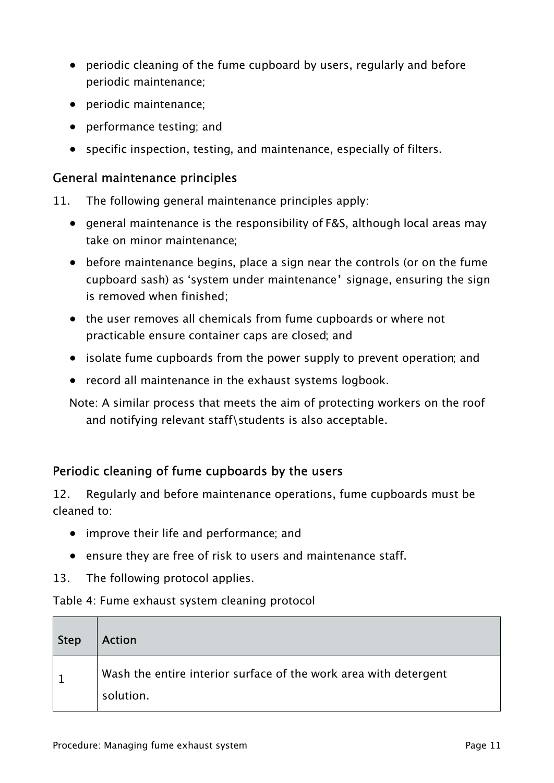- periodic cleaning of the fume cupboard by users, regularly and before periodic maintenance;
- periodic maintenance;
- performance testing; and
- specific inspection, testing, and maintenance, especially of filters.

#### General maintenance principles

- 11. The following general maintenance principles apply:
	- general maintenance is the responsibility of F&S, although local areas may take on minor maintenance;
	- before maintenance begins, place a sign near the controls (or on the fume cupboard sash) as 'system under maintenance' signage, ensuring the sign is removed when finished;
	- the user removes all chemicals from fume cupboards or where not practicable ensure container caps are closed; and
	- isolate fume cupboards from the power supply to prevent operation; and
	- record all maintenance in the exhaust systems logbook.

Note: A similar process that meets the aim of protecting workers on the roof and notifying relevant staff\students is also acceptable.

## Periodic cleaning of fume cupboards by the users

12. Regularly and before maintenance operations, fume cupboards must be cleaned to:

- improve their life and performance; and
- ensure they are free of risk to users and maintenance staff.
- 13. The following protocol applies.

#### Table 4: Fume exhaust system cleaning protocol

| <b>Step</b> | <b>Action</b>                                                                 |
|-------------|-------------------------------------------------------------------------------|
|             | Wash the entire interior surface of the work area with detergent<br>solution. |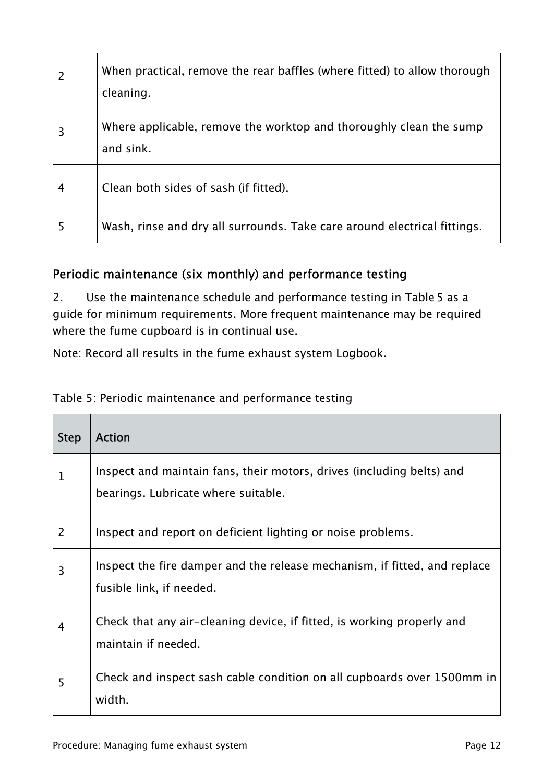| $\overline{2}$ | When practical, remove the rear baffles (where fitted) to allow thorough<br>cleaning. |
|----------------|---------------------------------------------------------------------------------------|
| 3              | Where applicable, remove the worktop and thoroughly clean the sump<br>and sink.       |
| 4              | Clean both sides of sash (if fitted).                                                 |
| 5              | Wash, rinse and dry all surrounds. Take care around electrical fittings.              |

#### Periodic maintenance (six monthly) and performance testing

2. Use the maintenance schedule and performance testing in Table 5 as a guide for minimum requirements. More frequent maintenance may be required where the fume cupboard is in continual use.

Note: Record all results in the fume exhaust system Logbook.

| Table 5: Periodic maintenance and performance testing |  |  |
|-------------------------------------------------------|--|--|
|-------------------------------------------------------|--|--|

| <b>Step</b> | <b>Action</b>                                                                                                |
|-------------|--------------------------------------------------------------------------------------------------------------|
| 1           | Inspect and maintain fans, their motors, drives (including belts) and<br>bearings. Lubricate where suitable. |
| 2           | Inspect and report on deficient lighting or noise problems.                                                  |
| 3           | Inspect the fire damper and the release mechanism, if fitted, and replace<br>fusible link, if needed.        |
| 4           | Check that any air-cleaning device, if fitted, is working properly and<br>maintain if needed.                |
| 5           | Check and inspect sash cable condition on all cupboards over 1500mm in<br>width.                             |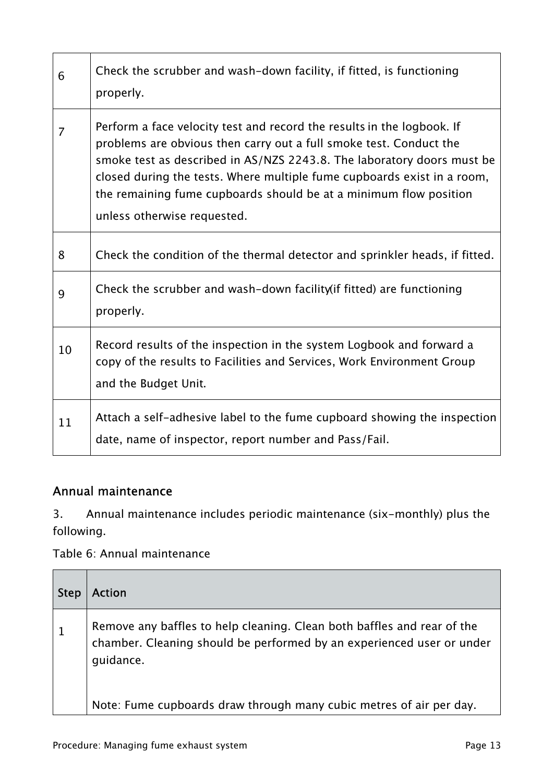| 6              | Check the scrubber and wash-down facility, if fitted, is functioning<br>properly.                                                                                                                                                                                                                                                                                                                     |
|----------------|-------------------------------------------------------------------------------------------------------------------------------------------------------------------------------------------------------------------------------------------------------------------------------------------------------------------------------------------------------------------------------------------------------|
| $\overline{7}$ | Perform a face velocity test and record the results in the logbook. If<br>problems are obvious then carry out a full smoke test. Conduct the<br>smoke test as described in AS/NZS 2243.8. The laboratory doors must be<br>closed during the tests. Where multiple fume cupboards exist in a room,<br>the remaining fume cupboards should be at a minimum flow position<br>unless otherwise requested. |
| 8              | Check the condition of the thermal detector and sprinkler heads, if fitted.                                                                                                                                                                                                                                                                                                                           |
| 9              | Check the scrubber and wash-down facility (if fitted) are functioning<br>properly.                                                                                                                                                                                                                                                                                                                    |
| 10             | Record results of the inspection in the system Logbook and forward a<br>copy of the results to Facilities and Services, Work Environment Group<br>and the Budget Unit.                                                                                                                                                                                                                                |
| 11             | Attach a self-adhesive label to the fume cupboard showing the inspection<br>date, name of inspector, report number and Pass/Fail.                                                                                                                                                                                                                                                                     |

## Annual maintenance

3. Annual maintenance includes periodic maintenance (six-monthly) plus the following.

Table 6: Annual maintenance

| <b>Step</b> | <b>Action</b>                                                                                                                                                 |
|-------------|---------------------------------------------------------------------------------------------------------------------------------------------------------------|
|             | Remove any baffles to help cleaning. Clean both baffles and rear of the<br>chamber. Cleaning should be performed by an experienced user or under<br>guidance. |
|             | Note: Fume cupboards draw through many cubic metres of air per day.                                                                                           |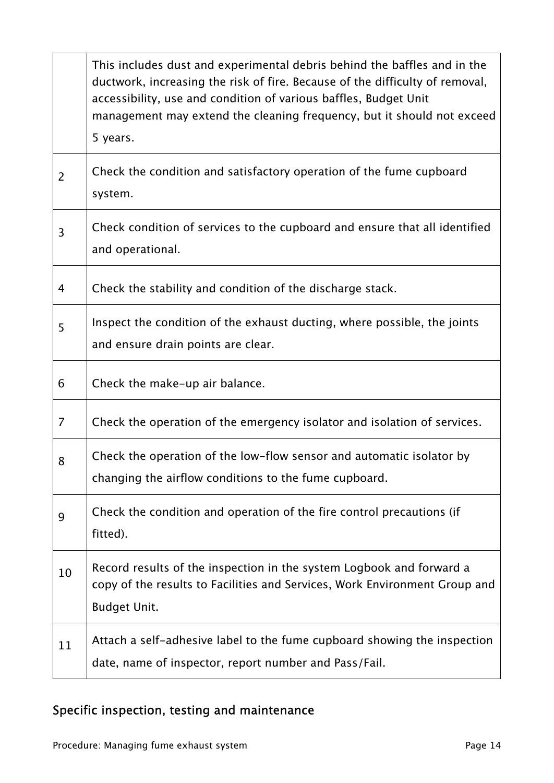|                | This includes dust and experimental debris behind the baffles and in the<br>ductwork, increasing the risk of fire. Because of the difficulty of removal,<br>accessibility, use and condition of various baffles, Budget Unit<br>management may extend the cleaning frequency, but it should not exceed<br>5 years. |
|----------------|--------------------------------------------------------------------------------------------------------------------------------------------------------------------------------------------------------------------------------------------------------------------------------------------------------------------|
| $\overline{2}$ | Check the condition and satisfactory operation of the fume cupboard<br>system.                                                                                                                                                                                                                                     |
| 3              | Check condition of services to the cupboard and ensure that all identified<br>and operational.                                                                                                                                                                                                                     |
| 4              | Check the stability and condition of the discharge stack.                                                                                                                                                                                                                                                          |
| 5              | Inspect the condition of the exhaust ducting, where possible, the joints<br>and ensure drain points are clear.                                                                                                                                                                                                     |
| 6              | Check the make-up air balance.                                                                                                                                                                                                                                                                                     |
| 7              | Check the operation of the emergency isolator and isolation of services.                                                                                                                                                                                                                                           |
| 8              | Check the operation of the low-flow sensor and automatic isolator by<br>changing the airflow conditions to the fume cupboard.                                                                                                                                                                                      |
| 9              | Check the condition and operation of the fire control precautions (if<br>fitted).                                                                                                                                                                                                                                  |
| 10             | Record results of the inspection in the system Logbook and forward a<br>copy of the results to Facilities and Services, Work Environment Group and<br><b>Budget Unit.</b>                                                                                                                                          |
| 11             | Attach a self-adhesive label to the fume cupboard showing the inspection<br>date, name of inspector, report number and Pass/Fail.                                                                                                                                                                                  |

# Specific inspection, testing and maintenance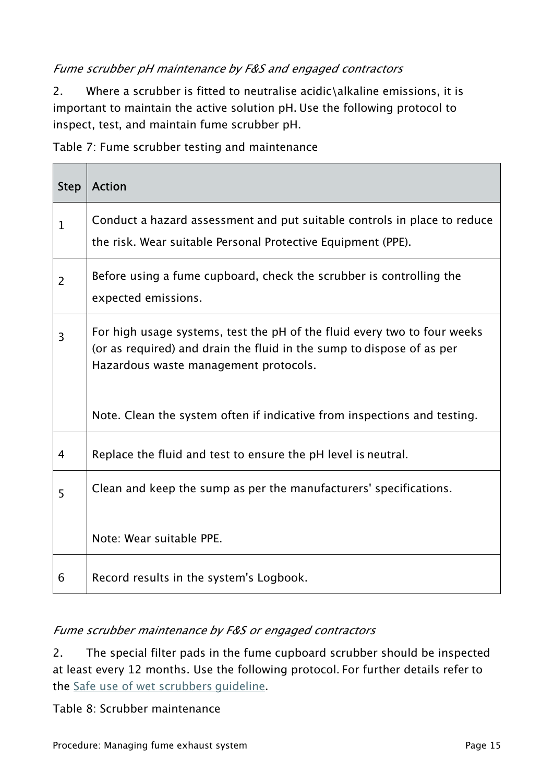#### Fume scrubber pH maintenance by F&S and engaged contractors

2. Where a scrubber is fitted to neutralise acidic\alkaline emissions, it is important to maintain the active solution pH. Use the following protocol to inspect, test, and maintain fume scrubber pH.

Table 7: Fume scrubber testing and maintenance

| <b>Step</b>    | <b>Action</b>                                                                                                                                                                              |
|----------------|--------------------------------------------------------------------------------------------------------------------------------------------------------------------------------------------|
| $\mathbf{1}$   | Conduct a hazard assessment and put suitable controls in place to reduce<br>the risk. Wear suitable Personal Protective Equipment (PPE).                                                   |
| $\overline{2}$ | Before using a fume cupboard, check the scrubber is controlling the<br>expected emissions.                                                                                                 |
| 3              | For high usage systems, test the pH of the fluid every two to four weeks<br>(or as required) and drain the fluid in the sump to dispose of as per<br>Hazardous waste management protocols. |
|                | Note. Clean the system often if indicative from inspections and testing.                                                                                                                   |
| 4              | Replace the fluid and test to ensure the pH level is neutral.                                                                                                                              |
| 5              | Clean and keep the sump as per the manufacturers' specifications.                                                                                                                          |
|                | Note: Wear suitable PPE.                                                                                                                                                                   |
| 6              | Record results in the system's Logbook.                                                                                                                                                    |

#### Fume scrubber maintenance by F&S or engaged contractors

2. The special filter pads in the fume cupboard scrubber should be inspected at least every 12 months. Use the following protocol. For further details refer to the [Safe use of wet scrubbers guideline](https://policies.anu.edu.au/ppl/document/ANUP_000782).

Table 8: Scrubber maintenance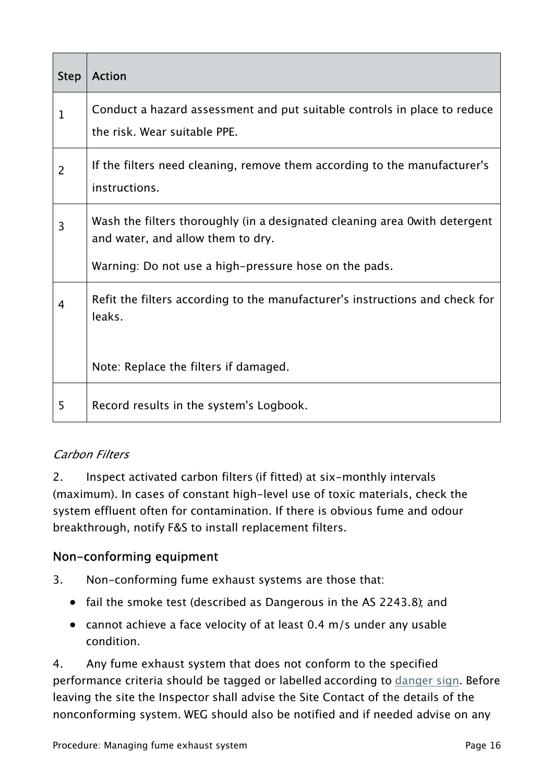| <b>Step</b>    | <b>Action</b>                                                                                                    |
|----------------|------------------------------------------------------------------------------------------------------------------|
| $\mathbf 1$    | Conduct a hazard assessment and put suitable controls in place to reduce<br>the risk. Wear suitable PPE.         |
| $\overline{2}$ | If the filters need cleaning, remove them according to the manufacturer's<br>instructions.                       |
| 3              | Wash the filters thoroughly (in a designated cleaning area O with detergent<br>and water, and allow them to dry. |
|                | Warning: Do not use a high-pressure hose on the pads.                                                            |
| 4              | Refit the filters according to the manufacturer's instructions and check for<br>leaks.                           |
|                | Note: Replace the filters if damaged.                                                                            |
| 5              | Record results in the system's Logbook.                                                                          |

## Carbon Filters

2. Inspect activated carbon filters (if fitted) at six-monthly intervals (maximum). In cases of constant high-level use of toxic materials, check the system effluent often for contamination. If there is obvious fume and odour breakthrough, notify F&S to install replacement filters.

## Non-conforming equipment

- 3. Non-conforming fume exhaust systems are those that:
	- fail the smoke test (described as Dangerous in the AS 2243.8); and
	- cannot achieve a face velocity of at least 0.4 m/s under any usable condition.

4. Any fume exhaust system that does not conform to the specified performance criteria should be tagged or labelled according to [danger sign](https://policies.anu.edu.au/ppl/document/ANUP_001206). Before leaving the site the Inspector shall advise the Site Contact of the details of the nonconforming system. WEG should also be notified and if needed advise on any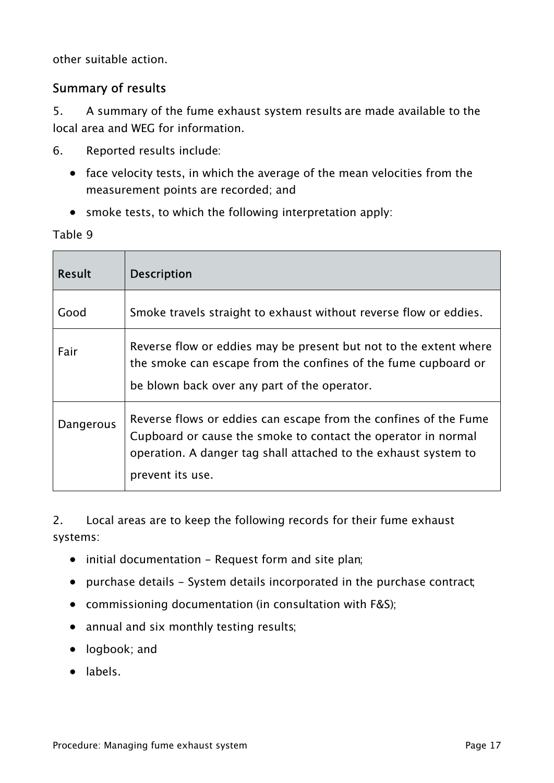other suitable action.

#### Summary of results

5. A summary of the fume exhaust system results are made available to the local area and WEG for information.

- 6. Reported results include:
	- face velocity tests, in which the average of the mean velocities from the measurement points are recorded; and
	- smoke tests, to which the following interpretation apply:

Table 9

| <b>Result</b> | <b>Description</b>                                                                                                                                                                                                       |
|---------------|--------------------------------------------------------------------------------------------------------------------------------------------------------------------------------------------------------------------------|
| Good          | Smoke travels straight to exhaust without reverse flow or eddies.                                                                                                                                                        |
| Fair          | Reverse flow or eddies may be present but not to the extent where<br>the smoke can escape from the confines of the fume cupboard or<br>be blown back over any part of the operator.                                      |
| Dangerous     | Reverse flows or eddies can escape from the confines of the Fume<br>Cupboard or cause the smoke to contact the operator in normal<br>operation. A danger tag shall attached to the exhaust system to<br>prevent its use. |

2. Local areas are to keep the following records for their fume exhaust systems:

- initial documentation Request form and site plan;
- purchase details System details incorporated in the purchase contract
- commissioning documentation (in consultation with F&S);
- annual and six monthly testing results;
- logbook; and
- labels.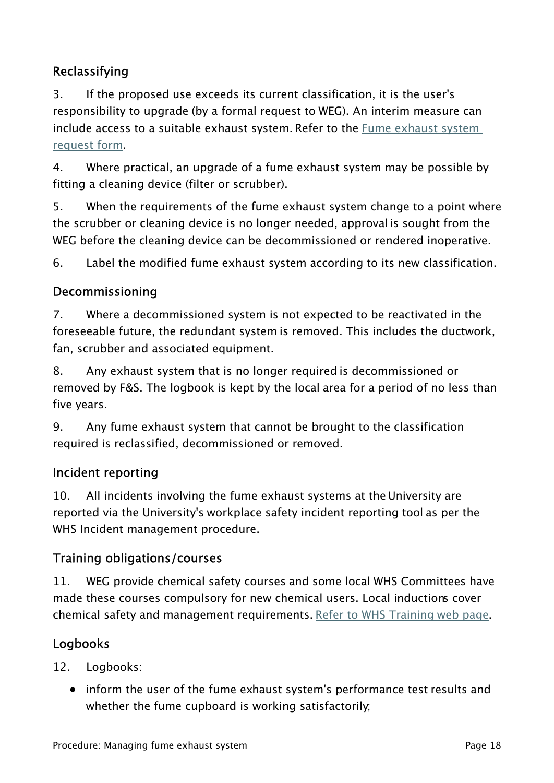# Reclassifying

3. If the proposed use exceeds its current classification, it is the user's responsibility to upgrade (by a formal request to WEG). An interim measure can include access to a suitable exhaust system. Refer to the [Fume exhaust system](https://policies.anu.edu.au/ppl/document/ANUP_001042)  [request form.](https://policies.anu.edu.au/ppl/document/ANUP_001042)

4. Where practical, an upgrade of a fume exhaust system may be possible by fitting a cleaning device (filter or scrubber).

5. When the requirements of the fume exhaust system change to a point where the scrubber or cleaning device is no longer needed, approval is sought from the WEG before the cleaning device can be decommissioned or rendered inoperative.

6. Label the modified fume exhaust system according to its new classification.

## Decommissioning

7. Where a decommissioned system is not expected to be reactivated in the foreseeable future, the redundant system is removed. This includes the ductwork, fan, scrubber and associated equipment.

8. Any exhaust system that is no longer required is decommissioned or removed by F&S. The logbook is kept by the local area for a period of no less than five years.

9. Any fume exhaust system that cannot be brought to the classification required is reclassified, decommissioned or removed.

#### Incident reporting

10. All incidents involving the fume exhaust systems at the University are reported via the University's workplace safety incident reporting tool as per the WHS Incident management procedure.

## Training obligations/courses

11. WEG provide chemical safety courses and some local WHS Committees have made these courses compulsory for new chemical users. Local inductions cover chemical safety and management requirements. [Refer to WHS Training web page](https://services.anu.edu.au/training?combine&field_development_opp_type_tid=All&field_business_unit_target_id%5b0%5d=4946#views-exposed-form-services-development-opportunity-all).

## Logbooks

12. Logbooks:

• inform the user of the fume exhaust system's performance test results and whether the fume cupboard is working satisfactorily;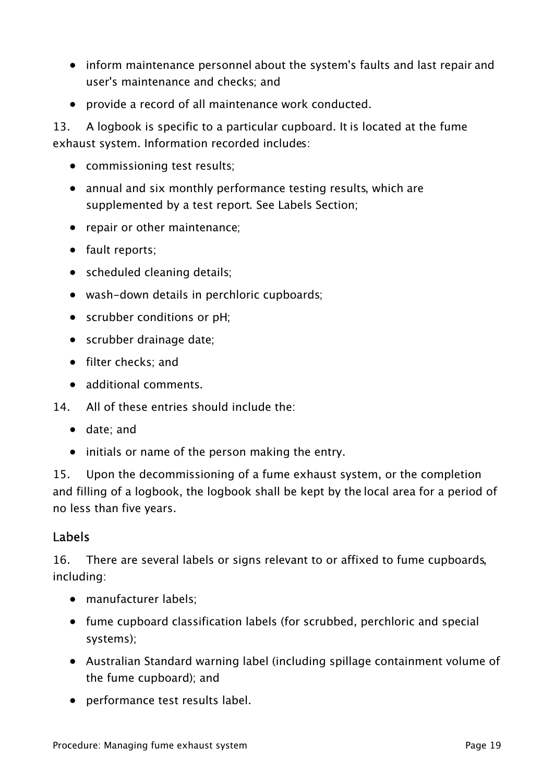- inform maintenance personnel about the system's faults and last repair and user's maintenance and checks; and
- provide a record of all maintenance work conducted.

13. A logbook is specific to a particular cupboard. It is located at the fume exhaust system. Information recorded includes:

- commissioning test results;
- annual and six monthly performance testing results, which are supplemented by a test report. See Labels Section;
- repair or other maintenance;
- fault reports:
- scheduled cleaning details;
- wash-down details in perchloric cupboards;
- scrubber conditions or pH;
- scrubber drainage date;
- filter checks; and
- additional comments.
- 14. All of these entries should include the:
	- date; and
	- initials or name of the person making the entry.

15. Upon the decommissioning of a fume exhaust system, or the completion and filling of a logbook, the logbook shall be kept by the local area for a period of no less than five years.

#### Labels

16. There are several labels or signs relevant to or affixed to fume cupboards, including:

- manufacturer labels:
- fume cupboard classification labels (for scrubbed, perchloric and special systems);
- Australian Standard warning label (including spillage containment volume of the fume cupboard); and
- performance test results label.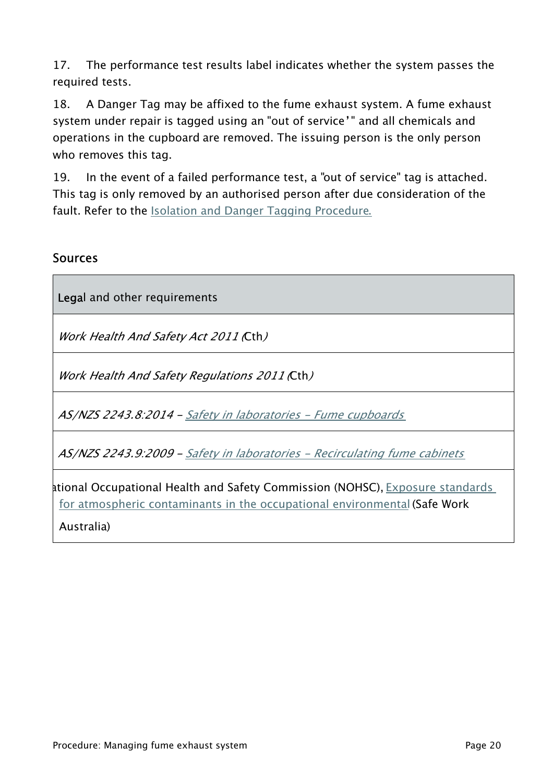17. The performance test results label indicates whether the system passes the required tests.

18. A Danger Tag may be affixed to the fume exhaust system. A fume exhaust system under repair is tagged using an "out of service'" and all chemicals and operations in the cupboard are removed. The issuing person is the only person who removes this tag.

19. In the event of a failed performance test, a "out of service" tag is attached. This tag is only removed by an authorised person after due consideration of the fault. Refer to the [Isolation and Danger Tagging Procedure](https://policies.anu.edu.au/ppl/document/ANUP_000571).

#### **Sources**

Legal and other requirements

Work Health And Safety Act 2011 (Cth)

Work Health And Safety Regulations 2011 (Cth)

AS/NZS 2243.8:2014 - [Safety in laboratories - Fume cupboards](https://infostore.saiglobal.com/en-au/Standards/AS-NZS-2243-8-2014-1699511/)

AS/NZS 2243.9:2009 - [Safety in laboratories - Recirculating fume cabinets](https://infostore.saiglobal.com/en-au/Standards/AS-NZS-2243-9-2009-1123612/)

National Occupational Health and Safety Commission (NOHSC), [Exposure standards](https://www.safeworkaustralia.gov.au/system/files/documents/1702/adoptednationalexposurestandardsatmosphericcontaminants_nohsc1003-1995_pdf.pdf)  [for atmospheric contaminants in the occupational environmental](https://www.safeworkaustralia.gov.au/system/files/documents/1702/adoptednationalexposurestandardsatmosphericcontaminants_nohsc1003-1995_pdf.pdf) (Safe Work

Australia)